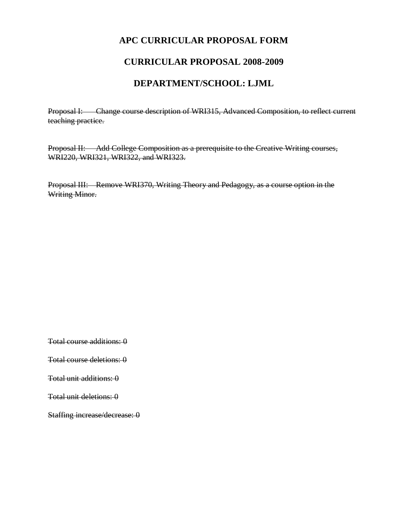# **APC CURRICULAR PROPOSAL FORM**

### **CURRICULAR PROPOSAL 2008-2009**

### **DEPARTMENT/SCHOOL: LJML**

Proposal I: Change course description of WRI315, Advanced Composition, to reflect current teaching practice.

Proposal II: Add College Composition as a prerequisite to the Creative Writing courses, WRI220, WRI321, WRI322, and WRI323.

Proposal III: Remove WRI370, Writing Theory and Pedagogy, as a course option in the Writing Minor.

Total course additions: 0

Total course deletions: 0

Total unit additions: 0

Total unit deletions: 0

Staffing increase/decrease: 0